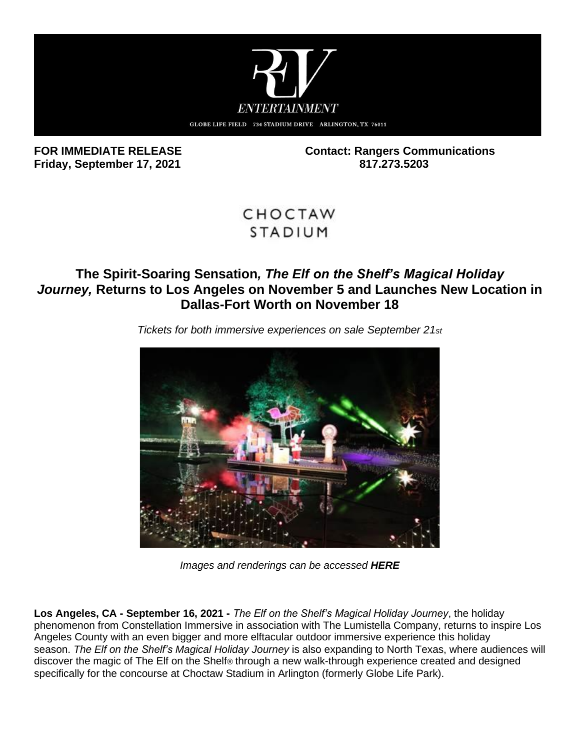

**Friday, September 17, 2021 817.273.5203**

FOR IMMEDIATE RELEASE **Contact: Rangers Communications** 

# CHOCTAW **STADIUM**

# **The Spirit-Soaring Sensation***, The Elf on the Shelf's Magical Holiday Journey,* **Returns to Los Angeles on November 5 and Launches New Location in Dallas-Fort Worth on November 18**



*Tickets for both immersive experiences on sale September 21st*

*Images and renderings can be accessed [HERE](https://protect-us.mimecast.com/s/xI28CYEQVBF37onNcGKbfM?domain=wetransfer.com)*

**Los Angeles, CA - September 16, 2021 -** *The Elf on the Shelf's Magical Holiday Journey*, the holiday phenomenon from Constellation Immersive in association with The Lumistella Company, returns to inspire Los Angeles County with an even bigger and more elftacular outdoor immersive experience this holiday season. *The Elf on the Shelf's Magical Holiday Journey* is also expanding to North Texas, where audiences will discover the magic of The Elf on the Shelf® through a new walk-through experience created and designed specifically for the concourse at Choctaw Stadium in Arlington (formerly Globe Life Park).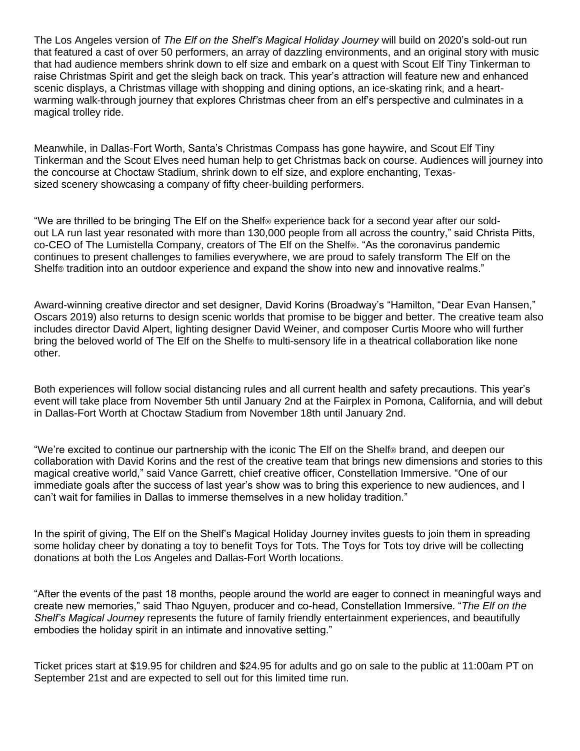The Los Angeles version of *The Elf on the Shelf's Magical Holiday Journey* will build on 2020's sold-out run that featured a cast of over 50 performers, an array of dazzling environments, and an original story with music that had audience members shrink down to elf size and embark on a quest with Scout Elf Tiny Tinkerman to raise Christmas Spirit and get the sleigh back on track. This year's attraction will feature new and enhanced scenic displays, a Christmas village with shopping and dining options, an ice-skating rink, and a heartwarming walk-through journey that explores Christmas cheer from an elf's perspective and culminates in a magical trolley ride.

Meanwhile, in Dallas-Fort Worth, Santa's Christmas Compass has gone haywire, and Scout Elf Tiny Tinkerman and the Scout Elves need human help to get Christmas back on course. Audiences will journey into the concourse at Choctaw Stadium, shrink down to elf size, and explore enchanting, Texassized scenery showcasing a company of fifty cheer-building performers.

"We are thrilled to be bringing The Elf on the Shelf® experience back for a second year after our soldout LA run last year resonated with more than 130,000 people from all across the country," said Christa Pitts, co-CEO of The Lumistella Company, creators of The Elf on the Shelf®. "As the coronavirus pandemic continues to present challenges to families everywhere, we are proud to safely transform The Elf on the Shelf® tradition into an outdoor experience and expand the show into new and innovative realms."

Award-winning creative director and set designer, David Korins (Broadway's "Hamilton, "Dear Evan Hansen," Oscars 2019) also returns to design scenic worlds that promise to be bigger and better. The creative team also includes director David Alpert, lighting designer David Weiner, and composer Curtis Moore who will further bring the beloved world of The Elf on the Shelf® to multi-sensory life in a theatrical collaboration like none other.

Both experiences will follow social distancing rules and all current health and safety precautions. This year's event will take place from November 5th until January 2nd at the Fairplex in Pomona, California, and will debut in Dallas-Fort Worth at Choctaw Stadium from November 18th until January 2nd.

"We're excited to continue our partnership with the iconic The Elf on the Shelf® brand, and deepen our collaboration with David Korins and the rest of the creative team that brings new dimensions and stories to this magical creative world," said Vance Garrett, chief creative officer, Constellation Immersive. "One of our immediate goals after the success of last year's show was to bring this experience to new audiences, and I can't wait for families in Dallas to immerse themselves in a new holiday tradition."

In the spirit of giving, The Elf on the Shelf's Magical Holiday Journey invites guests to join them in spreading some holiday cheer by donating a toy to benefit Toys for Tots. The Toys for Tots toy drive will be collecting donations at both the Los Angeles and Dallas-Fort Worth locations.

"After the events of the past 18 months, people around the world are eager to connect in meaningful ways and create new memories," said Thao Nguyen, producer and co-head, Constellation Immersive. "*The Elf on the Shelf's Magical Journey* represents the future of family friendly entertainment experiences, and beautifully embodies the holiday spirit in an intimate and innovative setting."

Ticket prices start at \$19.95 for children and \$24.95 for adults and go on sale to the public at 11:00am PT on September 21st and are expected to sell out for this limited time run.